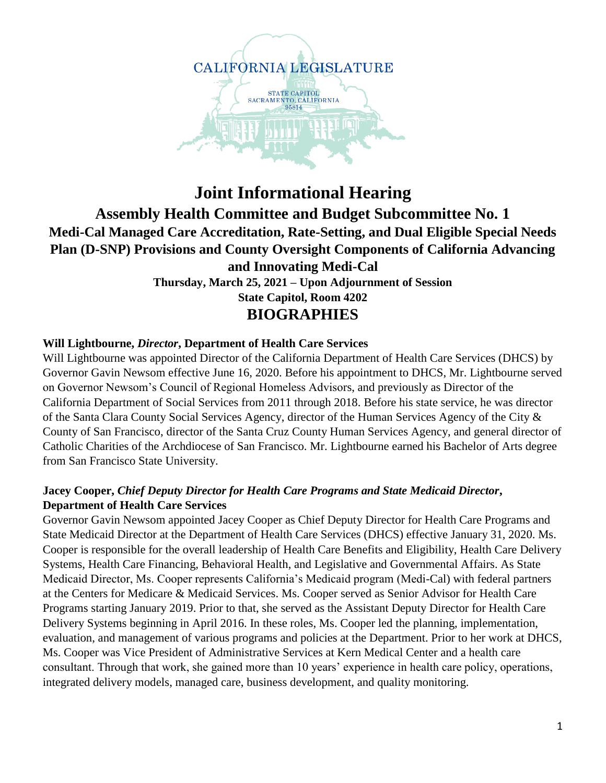

# **Joint Informational Hearing Assembly Health Committee and Budget Subcommittee No. 1 Medi-Cal Managed Care Accreditation, Rate-Setting, and Dual Eligible Special Needs Plan (D-SNP) Provisions and County Oversight Components of California Advancing and Innovating Medi-Cal Thursday, March 25, 2021 – Upon Adjournment of Session State Capitol, Room 4202 BIOGRAPHIES**

#### **Will Lightbourne,** *Director***, Department of Health Care Services**

Will Lightbourne was appointed Director of the California Department of Health Care Services (DHCS) by Governor Gavin Newsom effective June 16, 2020. Before his appointment to DHCS, Mr. Lightbourne served on Governor Newsom's Council of Regional Homeless Advisors, and previously as Director of the California Department of Social Services from 2011 through 2018. Before his state service, he was director of the Santa Clara County Social Services Agency, director of the Human Services Agency of the City & County of San Francisco, director of the Santa Cruz County Human Services Agency, and general director of Catholic Charities of the Archdiocese of San Francisco. Mr. Lightbourne earned his Bachelor of Arts degree from San Francisco State University.

## **Jacey Cooper,** *Chief Deputy Director for Health Care Programs and State Medicaid Director***, Department of Health Care Services**

Governor Gavin Newsom appointed Jacey Cooper as Chief Deputy Director for Health Care Programs and State Medicaid Director at the Department of Health Care Services (DHCS) effective January 31, 2020. Ms. Cooper is responsible for the overall leadership of Health Care Benefits and Eligibility, Health Care Delivery Systems, Health Care Financing, Behavioral Health, and Legislative and Governmental Affairs. As State Medicaid Director, Ms. Cooper represents California's Medicaid program (Medi-Cal) with federal partners at the Centers for Medicare & Medicaid Services. Ms. Cooper served as Senior Advisor for Health Care Programs starting January 2019. Prior to that, she served as the Assistant Deputy Director for Health Care Delivery Systems beginning in April 2016. In these roles, Ms. Cooper led the planning, implementation, evaluation, and management of various programs and policies at the Department. Prior to her work at DHCS, Ms. Cooper was Vice President of Administrative Services at Kern Medical Center and a health care consultant. Through that work, she gained more than 10 years' experience in health care policy, operations, integrated delivery models, managed care, business development, and quality monitoring.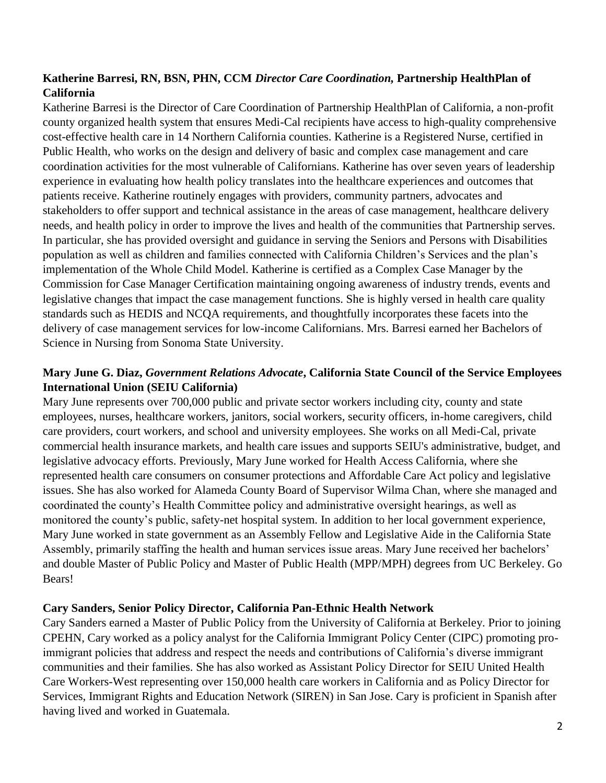# **Katherine Barresi, RN, BSN, PHN, CCM** *Director Care Coordination,* **Partnership HealthPlan of California**

Katherine Barresi is the Director of Care Coordination of Partnership HealthPlan of California, a non-profit county organized health system that ensures Medi-Cal recipients have access to high-quality comprehensive cost-effective health care in 14 Northern California counties. Katherine is a Registered Nurse, certified in Public Health, who works on the design and delivery of basic and complex case management and care coordination activities for the most vulnerable of Californians. Katherine has over seven years of leadership experience in evaluating how health policy translates into the healthcare experiences and outcomes that patients receive. Katherine routinely engages with providers, community partners, advocates and stakeholders to offer support and technical assistance in the areas of case management, healthcare delivery needs, and health policy in order to improve the lives and health of the communities that Partnership serves. In particular, she has provided oversight and guidance in serving the Seniors and Persons with Disabilities population as well as children and families connected with California Children's Services and the plan's implementation of the Whole Child Model. Katherine is certified as a Complex Case Manager by the Commission for Case Manager Certification maintaining ongoing awareness of industry trends, events and legislative changes that impact the case management functions. She is highly versed in health care quality standards such as HEDIS and NCQA requirements, and thoughtfully incorporates these facets into the delivery of case management services for low-income Californians. Mrs. Barresi earned her Bachelors of Science in Nursing from Sonoma State University.

# **Mary June G. Diaz,** *Government Relations Advocate***, California State Council of the Service Employees International Union (SEIU California)**

Mary June represents over 700,000 public and private sector workers including city, county and state employees, nurses, healthcare workers, janitors, social workers, security officers, in-home caregivers, child care providers, court workers, and school and university employees. She works on all Medi-Cal, private commercial health insurance markets, and health care issues and supports SEIU's administrative, budget, and legislative advocacy efforts. Previously, Mary June worked for Health Access California, where she represented health care consumers on consumer protections and Affordable Care Act policy and legislative issues. She has also worked for Alameda County Board of Supervisor Wilma Chan, where she managed and coordinated the county's Health Committee policy and administrative oversight hearings, as well as monitored the county's public, safety-net hospital system. In addition to her local government experience, Mary June worked in state government as an Assembly Fellow and Legislative Aide in the California State Assembly, primarily staffing the health and human services issue areas. Mary June received her bachelors' and double Master of Public Policy and Master of Public Health (MPP/MPH) degrees from UC Berkeley. Go Bears!

#### **Cary Sanders, Senior Policy Director, California Pan-Ethnic Health Network**

Cary Sanders earned a Master of Public Policy from the University of California at Berkeley. Prior to joining CPEHN, Cary worked as a policy analyst for the California Immigrant Policy Center (CIPC) promoting proimmigrant policies that address and respect the needs and contributions of California's diverse immigrant communities and their families. She has also worked as Assistant Policy Director for SEIU United Health Care Workers-West representing over 150,000 health care workers in California and as Policy Director for Services, Immigrant Rights and Education Network (SIREN) in San Jose. Cary is proficient in Spanish after having lived and worked in Guatemala.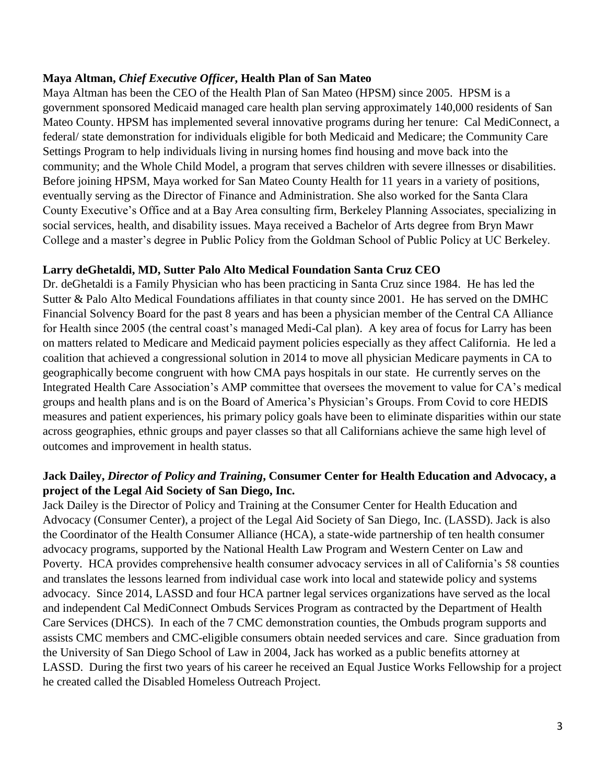#### **Maya Altman,** *Chief Executive Officer***, Health Plan of San Mateo**

Maya Altman has been the CEO of the Health Plan of San Mateo (HPSM) since 2005. HPSM is a government sponsored Medicaid managed care health plan serving approximately 140,000 residents of San Mateo County. HPSM has implemented several innovative programs during her tenure: Cal MediConnect, a federal/ state demonstration for individuals eligible for both Medicaid and Medicare; the Community Care Settings Program to help individuals living in nursing homes find housing and move back into the community; and the Whole Child Model, a program that serves children with severe illnesses or disabilities. Before joining HPSM, Maya worked for San Mateo County Health for 11 years in a variety of positions, eventually serving as the Director of Finance and Administration. She also worked for the Santa Clara County Executive's Office and at a Bay Area consulting firm, Berkeley Planning Associates, specializing in social services, health, and disability issues. Maya received a Bachelor of Arts degree from Bryn Mawr College and a master's degree in Public Policy from the Goldman School of Public Policy at UC Berkeley.

#### **Larry deGhetaldi, MD, Sutter Palo Alto Medical Foundation Santa Cruz CEO**

Dr. deGhetaldi is a Family Physician who has been practicing in Santa Cruz since 1984. He has led the Sutter & Palo Alto Medical Foundations affiliates in that county since 2001. He has served on the DMHC Financial Solvency Board for the past 8 years and has been a physician member of the Central CA Alliance for Health since 2005 (the central coast's managed Medi-Cal plan). A key area of focus for Larry has been on matters related to Medicare and Medicaid payment policies especially as they affect California. He led a coalition that achieved a congressional solution in 2014 to move all physician Medicare payments in CA to geographically become congruent with how CMA pays hospitals in our state. He currently serves on the Integrated Health Care Association's AMP committee that oversees the movement to value for CA's medical groups and health plans and is on the Board of America's Physician's Groups. From Covid to core HEDIS measures and patient experiences, his primary policy goals have been to eliminate disparities within our state across geographies, ethnic groups and payer classes so that all Californians achieve the same high level of outcomes and improvement in health status.

# **Jack Dailey,** *Director of Policy and Training***, Consumer Center for Health Education and Advocacy, a project of the Legal Aid Society of San Diego, Inc.**

Jack Dailey is the Director of Policy and Training at the Consumer Center for Health Education and Advocacy (Consumer Center), a project of the Legal Aid Society of San Diego, Inc. (LASSD). Jack is also the Coordinator of the Health Consumer Alliance (HCA), a state-wide partnership of ten health consumer advocacy programs, supported by the National Health Law Program and Western Center on Law and Poverty. HCA provides comprehensive health consumer advocacy services in all of California's 58 counties and translates the lessons learned from individual case work into local and statewide policy and systems advocacy. Since 2014, LASSD and four HCA partner legal services organizations have served as the local and independent Cal MediConnect Ombuds Services Program as contracted by the Department of Health Care Services (DHCS). In each of the 7 CMC demonstration counties, the Ombuds program supports and assists CMC members and CMC-eligible consumers obtain needed services and care. Since graduation from the University of San Diego School of Law in 2004, Jack has worked as a public benefits attorney at LASSD. During the first two years of his career he received an Equal Justice Works Fellowship for a project he created called the Disabled Homeless Outreach Project.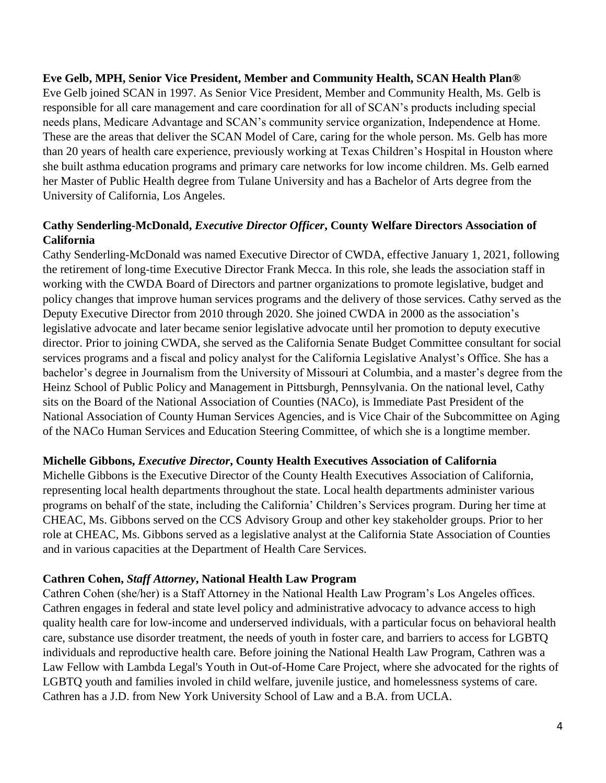**Eve Gelb, MPH, Senior Vice President, Member and Community Health, SCAN Health Plan®** Eve Gelb joined SCAN in 1997. As Senior Vice President, Member and Community Health, Ms. Gelb is responsible for all care management and care coordination for all of SCAN's products including special needs plans, Medicare Advantage and SCAN's community service organization, Independence at Home. These are the areas that deliver the SCAN Model of Care, caring for the whole person. Ms. Gelb has more than 20 years of health care experience, previously working at Texas Children's Hospital in Houston where she built asthma education programs and primary care networks for low income children. Ms. Gelb earned her Master of Public Health degree from Tulane University and has a Bachelor of Arts degree from the University of California, Los Angeles.

## **Cathy Senderling-McDonald,** *Executive Director Officer***, County Welfare Directors Association of California**

Cathy Senderling-McDonald was named Executive Director of CWDA, effective January 1, 2021, following the retirement of long-time Executive Director Frank Mecca. In this role, she leads the association staff in working with the CWDA Board of Directors and partner organizations to promote legislative, budget and policy changes that improve human services programs and the delivery of those services. Cathy served as the Deputy Executive Director from 2010 through 2020. She joined CWDA in 2000 as the association's legislative advocate and later became senior legislative advocate until her promotion to deputy executive director. Prior to joining CWDA, she served as the California Senate Budget Committee consultant for social services programs and a fiscal and policy analyst for the California Legislative Analyst's Office. She has a bachelor's degree in Journalism from the University of Missouri at Columbia, and a master's degree from the Heinz School of Public Policy and Management in Pittsburgh, Pennsylvania. On the national level, Cathy sits on the Board of the National Association of Counties (NACo), is Immediate Past President of the National Association of County Human Services Agencies, and is Vice Chair of the Subcommittee on Aging of the NACo Human Services and Education Steering Committee, of which she is a longtime member.

#### **Michelle Gibbons,** *Executive Director***, County Health Executives Association of California**

Michelle Gibbons is the Executive Director of the County Health Executives Association of California, representing local health departments throughout the state. Local health departments administer various programs on behalf of the state, including the California' Children's Services program. During her time at CHEAC, Ms. Gibbons served on the CCS Advisory Group and other key stakeholder groups. Prior to her role at CHEAC, Ms. Gibbons served as a legislative analyst at the California State Association of Counties and in various capacities at the Department of Health Care Services.

#### **Cathren Cohen,** *Staff Attorney***, National Health Law Program**

Cathren Cohen (she/her) is a Staff Attorney in the National Health Law Program's Los Angeles offices. Cathren engages in federal and state level policy and administrative advocacy to advance access to high quality health care for low-income and underserved individuals, with a particular focus on behavioral health care, substance use disorder treatment, the needs of youth in foster care, and barriers to access for LGBTQ individuals and reproductive health care. Before joining the National Health Law Program, Cathren was a Law Fellow with Lambda Legal's Youth in Out-of-Home Care Project, where she advocated for the rights of LGBTQ youth and families involed in child welfare, juvenile justice, and homelessness systems of care. Cathren has a J.D. from New York University School of Law and a B.A. from UCLA.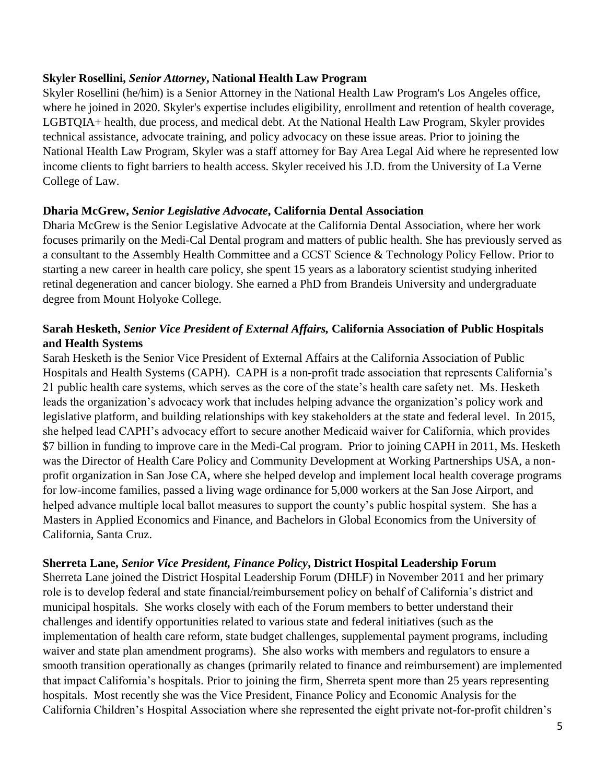#### **Skyler Rosellini,** *Senior Attorney***, National Health Law Program**

Skyler Rosellini (he/him) is a Senior Attorney in the National Health Law Program's Los Angeles office, where he joined in 2020. Skyler's expertise includes eligibility, enrollment and retention of health coverage, LGBTQIA+ health, due process, and medical debt. At the National Health Law Program, Skyler provides technical assistance, advocate training, and policy advocacy on these issue areas. Prior to joining the National Health Law Program, Skyler was a staff attorney for Bay Area Legal Aid where he represented low income clients to fight barriers to health access. Skyler received his J.D. from the University of La Verne College of Law.

#### **Dharia McGrew,** *Senior Legislative Advocate***, California Dental Association**

Dharia McGrew is the Senior Legislative Advocate at the California Dental Association, where her work focuses primarily on the Medi-Cal Dental program and matters of public health. She has previously served as a consultant to the Assembly Health Committee and a CCST Science & Technology Policy Fellow. Prior to starting a new career in health care policy, she spent 15 years as a laboratory scientist studying inherited retinal degeneration and cancer biology. She earned a PhD from Brandeis University and undergraduate degree from Mount Holyoke College.

## **Sarah Hesketh,** *Senior Vice President of External Affairs,* **California Association of Public Hospitals and Health Systems**

Sarah Hesketh is the Senior Vice President of External Affairs at the California Association of Public Hospitals and Health Systems (CAPH). CAPH is a non-profit trade association that represents California's 21 public health care systems, which serves as the core of the state's health care safety net. Ms. Hesketh leads the organization's advocacy work that includes helping advance the organization's policy work and legislative platform, and building relationships with key stakeholders at the state and federal level. In 2015, she helped lead CAPH's advocacy effort to secure another Medicaid waiver for California, which provides \$7 billion in funding to improve care in the Medi-Cal program. Prior to joining CAPH in 2011, Ms. Hesketh was the Director of Health Care Policy and Community Development at Working Partnerships USA, a nonprofit organization in San Jose CA, where she helped develop and implement local health coverage programs for low-income families, passed a living wage ordinance for 5,000 workers at the San Jose Airport, and helped advance multiple local ballot measures to support the county's public hospital system. She has a Masters in Applied Economics and Finance, and Bachelors in Global Economics from the University of California, Santa Cruz.

#### **Sherreta Lane,** *Senior Vice President, Finance Policy***, District Hospital Leadership Forum**

Sherreta Lane joined the District Hospital Leadership Forum (DHLF) in November 2011 and her primary role is to develop federal and state financial/reimbursement policy on behalf of California's district and municipal hospitals. She works closely with each of the Forum members to better understand their challenges and identify opportunities related to various state and federal initiatives (such as the implementation of health care reform, state budget challenges, supplemental payment programs, including waiver and state plan amendment programs). She also works with members and regulators to ensure a smooth transition operationally as changes (primarily related to finance and reimbursement) are implemented that impact California's hospitals. Prior to joining the firm, Sherreta spent more than 25 years representing hospitals. Most recently she was the Vice President, Finance Policy and Economic Analysis for the California Children's Hospital Association where she represented the eight private not-for-profit children's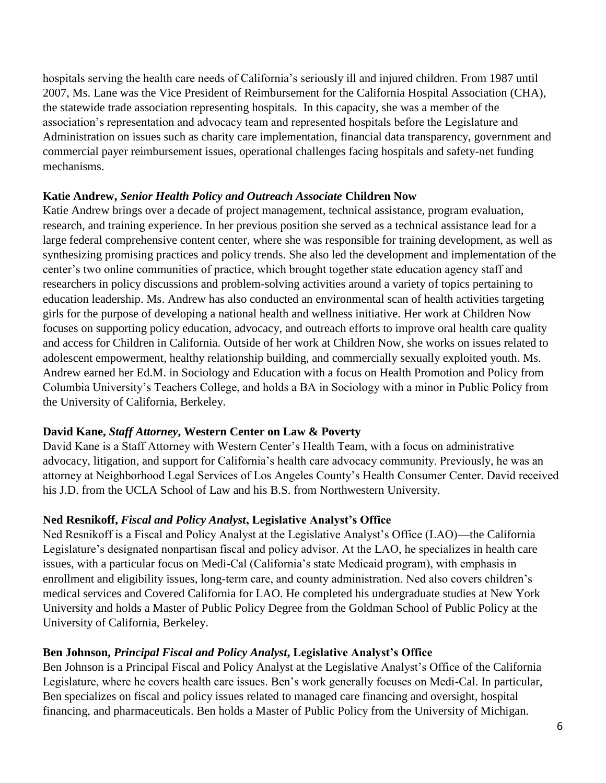hospitals serving the health care needs of California's seriously ill and injured children. From 1987 until 2007, Ms. Lane was the Vice President of Reimbursement for the California Hospital Association (CHA), the statewide trade association representing hospitals. In this capacity, she was a member of the association's representation and advocacy team and represented hospitals before the Legislature and Administration on issues such as charity care implementation, financial data transparency, government and commercial payer reimbursement issues, operational challenges facing hospitals and safety-net funding mechanisms.

#### **Katie Andrew,** *Senior Health Policy and Outreach Associate* **Children Now**

Katie Andrew brings over a decade of project management, technical assistance, program evaluation, research, and training experience. In her previous position she served as a technical assistance lead for a large federal comprehensive content center, where she was responsible for training development, as well as synthesizing promising practices and policy trends. She also led the development and implementation of the center's two online communities of practice, which brought together state education agency staff and researchers in policy discussions and problem-solving activities around a variety of topics pertaining to education leadership. Ms. Andrew has also conducted an environmental scan of health activities targeting girls for the purpose of developing a national health and wellness initiative. Her work at Children Now focuses on supporting policy education, advocacy, and outreach efforts to improve oral health care quality and access for Children in California. Outside of her work at Children Now, she works on issues related to adolescent empowerment, healthy relationship building, and commercially sexually exploited youth. Ms. Andrew earned her Ed.M. in Sociology and Education with a focus on Health Promotion and Policy from Columbia University's Teachers College, and holds a BA in Sociology with a minor in Public Policy from the University of California, Berkeley.

# **David Kane,** *Staff Attorney***, Western Center on Law & Poverty**

David Kane is a Staff Attorney with Western Center's Health Team, with a focus on administrative advocacy, litigation, and support for California's health care advocacy community. Previously, he was an attorney at Neighborhood Legal Services of Los Angeles County's Health Consumer Center. David received his J.D. from the UCLA School of Law and his B.S. from Northwestern University.

# **Ned Resnikoff,** *Fiscal and Policy Analyst***, Legislative Analyst's Office**

Ned Resnikoff is a Fiscal and Policy Analyst at the Legislative Analyst's Office (LAO)—the California Legislature's designated nonpartisan fiscal and policy advisor. At the LAO, he specializes in health care issues, with a particular focus on Medi-Cal (California's state Medicaid program), with emphasis in enrollment and eligibility issues, long-term care, and county administration. Ned also covers children's medical services and Covered California for LAO. He completed his undergraduate studies at New York University and holds a Master of Public Policy Degree from the Goldman School of Public Policy at the University of California, Berkeley.

# **Ben Johnson,** *Principal Fiscal and Policy Analyst***, Legislative Analyst's Office**

Ben Johnson is a Principal Fiscal and Policy Analyst at the Legislative Analyst's Office of the California Legislature, where he covers health care issues. Ben's work generally focuses on Medi-Cal. In particular, Ben specializes on fiscal and policy issues related to managed care financing and oversight, hospital financing, and pharmaceuticals. Ben holds a Master of Public Policy from the University of Michigan.